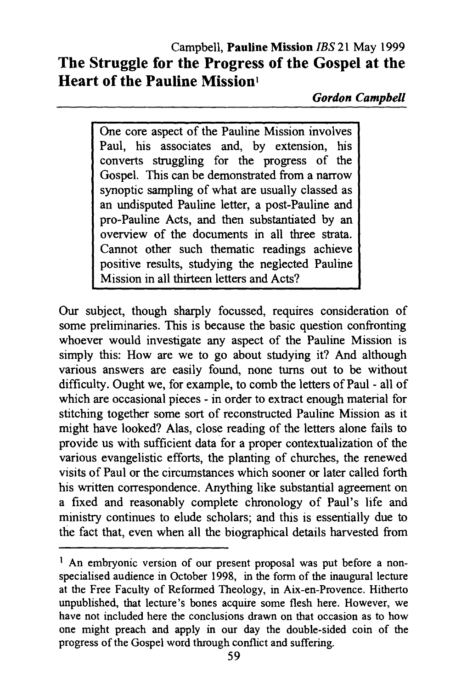*Gordon Campbell* 

One core aspect of the Pauline Mission involves Paul, his associates and, by extension, his converts struggling for the progress of the Gospel. This can be demonstrated from a narrow synoptic sampling of what are usually classed as an undisputed Pauline letter, a post-Pauline and pro-Pauline Acts, and then substantiated by an overview of the documents in all three strata. Cannot other such thematic readings achieve positive results, studying the neglected Pauline Mission in all thirteen letters and Acts?

Our subject, though sharply focussed, requires consideration of some preliminaries. This is because the basic question confronting whoever would investigate any aspect of the Pauline Mission is simply this: How are we to go about studying it? And although various answers are easily found, none turns out to be without difficulty. Ought we, for example, to comb the letters of Paul - all of which are occasional pieces - in order to extract enough material for stitching together some sort of reconstructed Pauline Mission as it might have looked? Alas, close reading of the letters alone fails to provide us with sufficient data for a proper contextualization of the various evangelistic efforts, the planting of churches, the renewed visits of Paul or the circumstances which sooner or later called forth his written correspondence. Anything like substantial agreement on a fixed and reasonably complete chronology of Paul's life and ministry continues to elude scholars; and this is essentially due to the fact that, even when all the biographical details harvested from

<sup>&</sup>lt;sup>1</sup> An embryonic version of our present proposal was put before a nonspecialised audience in October 1998, in the form of the inaugural lecture at the Free Faculty of Reformed Theology, in Aix-en-Provence. Hitherto unpublished, that lecture's bones acquire some flesh here. However, we have not included here the conclusions drawn on that occasion as to how one might preach and apply in our day the double-sided coin of the progress of the Gospel word through conflict and suffering.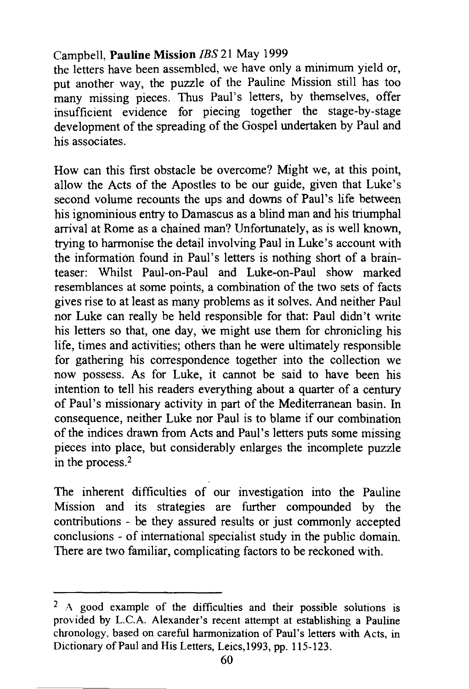the letters have been assembled, we have only a minimum yield or, put another way, the puzzle of the Pauline Mission still has too many missing pieces. Thus Paul's letters, by themselves, offer insufficient evidence for piecing together the stage-by-stage development of the spreading of the Gospel undertaken by Paul and his associates.

How can this first obstacle be overcome? Might we, at this point, allow the Acts of the Apostles to be our guide, given that Luke's second volume recounts the ups and downs of Paul's life between his ignominious entry to Damascus as a blind man and his triumphal arrival at Rome as a chained man? Unfortunately, as is well known, trying to harmonise the detail involving Paul in Luke's account with the information found in Paul's letters is nothing short of a brainteaser: Whilst Paul-on-Paul and Luke-on-Paul show marked resemblances at some points, a combination of the two sets of facts gives rise to at least as many problems as it solves. And neither Paul nor Luke can really be held responsible for that: Paul didn't write his letters so that, one day, we might use them for chronicling his life, times and activities; others than he were ultimately responsible for gathering his correspondence together into the collection we now possess. As for Luke, it cannot be said to have been his intention to tell his readers everything about a quarter of a century of Paul's missionary activity in part of the Mediterranean basin. In consequence, neither Luke nor Paul is to blame if our combination of the indices drawn from Acts and Paul's letters puts some missing pieces into place, but considerably enlarges the incomplete puzzle in the process.2

The inherent difficulties of our investigation into the Pauline Mission and its strategies are further compounded by the contributions - be they assured results or just commonly accepted conclusions - of international specialist study in the public domain. There are two familiar, complicating factors to be reckoned with.

 $2 A$  good example of the difficulties and their possible solutions is provided by L.C.A. Alexander's recent attempt at establishing a Pauline chronology, based on careful harmonization of Paul's letters with Acts, in Dictionary of Paul and His Letters, Leics,1993, pp. 115-123.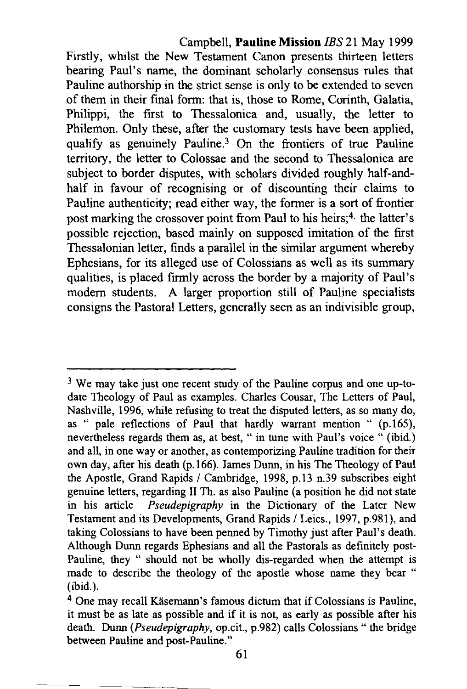Campbell, **Pauline Mission** JBS 21 May 1999 Firstly, whilst the New Testament Canon presents thirteen letters bearing Paul's name, the dominant scholarly consensus rules that Pauline authorship in the strict sense is only to be extended to seven of them in their final form: that is, those to Rome, Corinth, Galatia, Philippi, the first to Thessalonica and, usually, the letter to Philemon. Only these, after the customary tests have been applied, qualify as genuinely Pauline.3 On the frontiers of true Pauline territory, the letter to Colossae and the second to Thessalonica are subject to border disputes, with scholars divided roughly half-andhalf in favour of recognising or of discounting their claims to Pauline authenticity; read either way, the former is a sort of frontier post marking the crossover point from Paul to his heirs;<sup>4</sup> the latter's possible rejection, based mainly on supposed imitation of the first Thessalonian letter, finds a parallel in the similar argument whereby Ephesians, for its alleged use of Colossians as well as its summary qualities, is placed firmly across the border by a majority of Paul's modem students. A larger proportion still of Pauline specialists consigns the Pastoral Letters, generally seen as an indivisible group,

 $3$  We may take just one recent study of the Pauline corpus and one up-todate Theology of Paul as examples. Charles Cousar, The Letters of Paul, Nashville, 1996, while refusing to treat the disputed letters, as so many do, as " pale reflections of Paul that hardly warrant mention " (p.165), nevertheless regards them as, at best, "in tune with Paul's voice " (ibid.) and all, in one way or another, as contemporizing Pauline tradition for their own day, after his death (p.166). James Dunn, in his The Theology of Paul the Apostle, Grand Rapids / Cambridge, 1998, p.13 n.39 subscribes eight genuine letters, regarding II Th. as also Pauline (a position he did not state in his article *Pseudepigraphy* in the Dictionary of the Later New Testament and its Developments, Grand Rapids / Leics., 1997, p.981), and taking Colossians to have been penned by Timothy just after Paul's death. Although Dunn regards Ephesians and all the Pastorals as definitely post-Pauline, they " should not be wholly dis-regarded when the attempt is made to describe the theology of the apostle whose name they bear " (ibid.).

 $4$  One may recall Käsemann's famous dictum that if Colossians is Pauline, it must be as late as possible and if it is not, as early as possible after his death. Dunn *(Pseudepigraphy,* op.cit., p.982) calls Colossians " the bridge between Pauline and post-Pauline."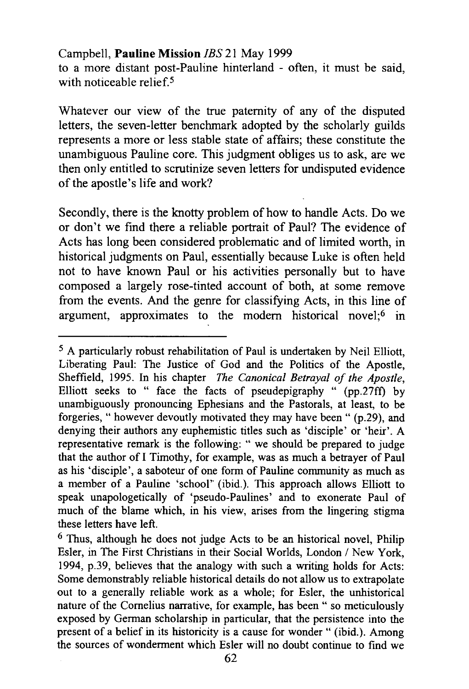to a more distant post-Pauline hinterland - often, it must be said, with noticeable relief  $5$ 

Whatever our view of the true paternity of any of the disputed letters, the seven-letter benchmark adopted by the scholarly guilds represents a more or less stable state of affairs; these constitute the unambiguous Pauline core. This judgment obliges us to ask, are we then only entitled to scrutinize seven letters for undisputed evidence of the apostle's life and work?

Secondly, there is the knotty problem of how to handle Acts. Do we or don't we find there a reliable portrait of Paul? The evidence of Acts has long been considered problematic and of limited worth, in historical judgments on Paul, essentially because Luke is often held not to have known Paul or his activities personally but to have composed a largely rose-tinted account of both, at some remove from the events. And the genre for classifying Acts, in this line of argument, approximates to the modern historical novel;<sup>6</sup> in

<sup>5</sup> A particularly robust rehabilitation of Paul is undertaken by Neil Elliott, Liberating Paul: The Justice of God and the Politics of the Apostle, Sheffield, 1995. In his chapter *The Canonical Betrayal of the Apostle,*  Elliott seeks to " face the facts of pseudepigraphy " (pp.27ft) by unambiguously pronouncing Ephesians and the Pastorals, at least, to be forgeries, " however devoutly motivated they may have been " (p.29), and denying their authors any euphemistic titles such as 'disciple' or 'heir'. A representative remark is the following: " we should be prepared to judge that the author of I Timothy, for example, was as much a betrayer of Paul as his 'disciple', a saboteur of one form of Pauline community as much as a member of a Pauline 'school' (ibid.). This approach allows Elliott to speak unapologetically of 'pseudo-Paulines' and to exonerate Paul of much of the blame which, in his view, arises from the lingering stigma these letters have left.

 $6$  Thus, although he does not judge Acts to be an historical novel. Philip Esler, in The First Christians in their Social Worlds, London / New York, 1994, p.39, believes that the analogy with such a writing holds for Acts: Some demonstrably reliable historical details do not allow us to extrapolate out to a generally reliable work as a whole; for Esler, the unhistorical nature of the Cornelius narrative, for example, has been " so meticulously exposed by German scholarship in particular, that the persistence into the present of a belief in its historicity is a cause for wonder " (ibid.). Among the sources of wonderment which Esler will no doubt continue to find we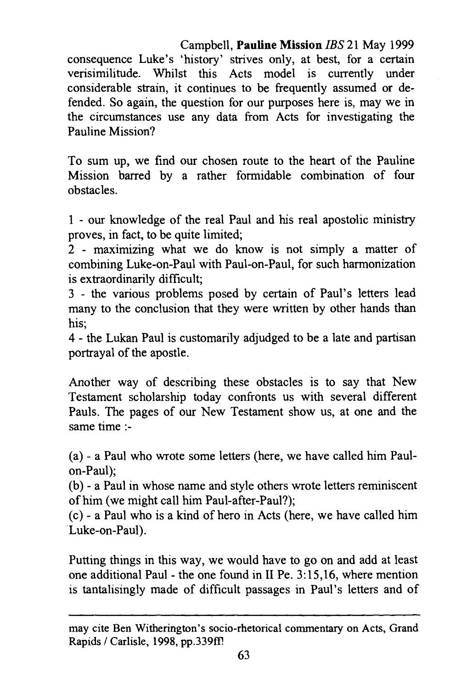Campbell, **Pauline Mission** JBS 21 May 1999 consequence Luke's 'history' strives only, at best, for a certain verisimilitude. Whilst this Acts model is currently under considerable strain, it continues to be frequently assumed or defended. So again, the question for our purposes here is, may we in the circumstances use any data from Acts for investigating the Pauline Mission?

To sum up, we find our chosen route to the heart of the Pauline Mission barred by a rather formidable combination of four obstacles.

1 - our knowledge of the real Paul and his real apostolic ministry proves, in fact, to be quite limited;

2 - maximizing what we do know is not simply a matter of combining Luke-on-Paul with Paul-on-Paul, for such harmonization is extraordinarily difficult;

3 - the various problems posed by certain of Paul's letters lead many to the conclusion that they were written by other hands than his;

4 - the Lukan Paul is customarily adjudged to be a late and partisan portrayal of the apostle.

Another way of describing these obstacles is to say that New Testament scholarship today confronts us with several different Pauls. The pages of our New Testament show us, at one and the same time:-

(a) - a Paul who wrote some letters (here, we have called him Paulon-Paul);

(b) - a Paul in whose name and style others wrote letters reminiscent of him (we might call him Paul-after-Paul?);

( c) - a Paul who is a kind of hero in Acts (here, we have called him Luke-on-Paul).

Putting things in this way, we would have to go on and add at least one additional Paul- the one found in II Pe. 3:15,16, where mention is tantalisingly made of difficult passages in Paul's letters and of

may cite Ben Witherington's socio-rhetorical commentary on Acts, Grand Rapids / Carlisle, 1998, pp.339ff!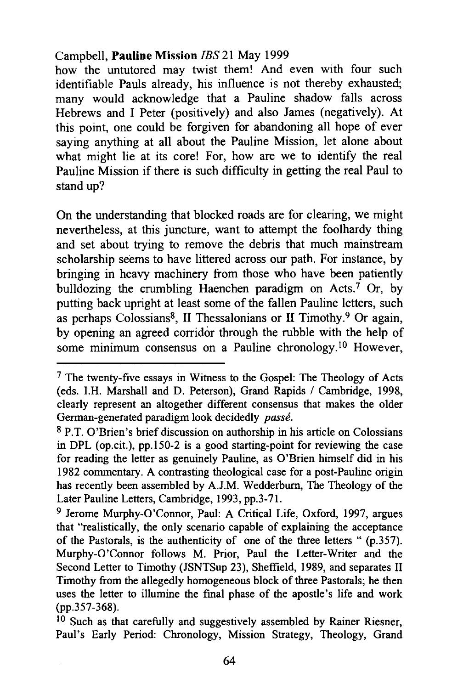how the untutored may twist them! And even with four such identifiable Pauls already, his influence is not thereby exhausted; many would acknowledge that a Pauline shadow falls across Hebrews and I Peter (positively) and also James (negatively). At this point, one could be forgiven for abandoning all hope of ever saying anything at all about the Pauline Mission, let alone about what might lie at its core! For, how are we to identify the real Pauline Mission if there is such difficulty in getting the real Paul to stand up?

On the understanding that blocked roads are for clearing, we might nevertheless, at this juncture, want to attempt the foolhardy thing and set about trying to remove the debris that much mainstream scholarship seems to have littered across our path. For instance, by bringing in heavy machinery from those who have been patiently bulldozing the crumbling Haenchen paradigm on Acts.7 Or, by putting back upright at least some of the fallen Pauline letters, such as perhaps Colossians<sup>8</sup>, II Thessalonians or II Timothy.<sup>9</sup> Or again, by opening an agreed corridor through the rubble with the help of some minimum consensus on a Pauline chronology.<sup>10</sup> However,

<sup>7</sup> The twenty-five essays in Witness to the Gospel: The Theology of Acts (eds. I.H. Marshall and D. Peterson), Grand Rapids / Cambridge, 1998, clearly represent an altogether different consensus that makes the older German-generated paradigm look decidedly *passe.* 

<sup>8</sup> P.T. O'Brien's brief discussion on authorship in his article on Colossians in DPL (op.cit.), pp.150-2 is a good starting-point for reviewing the case for reading the letter as genuinely Pauline, as O'Brien himself did in his 1982 commentary. A contrasting theological case for a post-Pauline origin has recently been assembled by A.J.M. Wedderburn, The Theology of the Later Pauline Letters, Cambridge, 1993, pp.3-71.

<sup>9</sup> Jerome Murphy-O'Connor, Paul: A Critical Life, Oxford, 1997, argues that "realistically, the only scenario capable of explaining the acceptance of the Pastorals, is the authenticity of one of the three letters " (p.357). Murphy-O'Connor follows M. Prior, Paul the Letter-Writer and the Second Letter to Timothy (JSNTSup 23), Sheffield, 1989, and separates II Timothy from the allegedly homogeneous block of three Pastorals; he then uses the letter to illumine the final phase of the apostle's life and work (pp.357-368).

 $10$  Such as that carefully and suggestively assembled by Rainer Riesner, Paul's Early Period: Chronology, Mission Strategy, Theology, Grand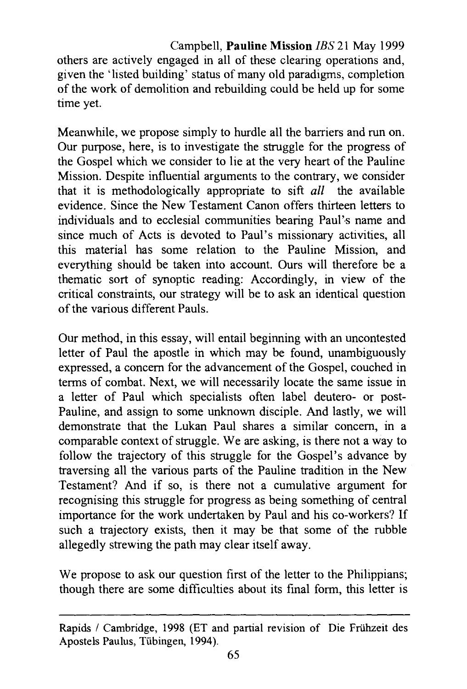Campbell, **Pauline Mission** JBS 21 May 1999 others are actively engaged in all of these clearing operations and, given the 'listed building' status of many old paradigms, completion of the work of demolition and rebuilding could be held up for some time yet.

Meanwhile, we propose simply to hurdle all the barriers and run on. Our purpose, here, is to investigate the struggle for the progress of the Gospel which we consider to lie at the very heart of the Pauline Mission. Despite influential arguments to the contrary, we consider that it is methodologically appropriate to sift *all* the available evidence. Since the New Testament Canon offers thirteen letters to individuals and to ecclesial communities bearing Paul's name and since much of Acts is devoted to Paul's missionary activities, all this material has some relation to the Pauline Mission, and everything should be taken into account. Ours will therefore be a thematic sort of synoptic reading: Accordingly, in view of the critical constraints, our strategy will be to ask an identical question of the various different Pauls.

Our method, in this essay, will entail beginning with an uncontested letter of Paul the apostle in which may be found, unambiguously expressed, a concern for the advancement of the Gospel, couched in terms of combat. Next, we will necessarily locate the same issue in a letter of Paul which specialists often label deutero- or post-Pauline, and assign to some unknown disciple. And lastly, we will demonstrate that the Lukan Paul shares a similar concern, in a comparable context of struggle. We are asking, is there not a way to follow the trajectory of this struggle for the Gospel's advance by traversing all the various parts of the Pauline tradition in the New Testament? And if so, is there not a cumulative argument for recognising this struggle for progress as being something of central importance for the work undertaken by Paul and his co-workers? If such a trajectory exists, then it may be that some of the rubble allegedly strewing the path may clear itself away.

We propose to ask our question first of the letter to the Philippians; though there are some difficulties about its final form, this letter is

Rapids / Cambridge, 1998 (ET and partial revision of Die Frühzeit des Apostels Paulus, Tiibingen, 1994).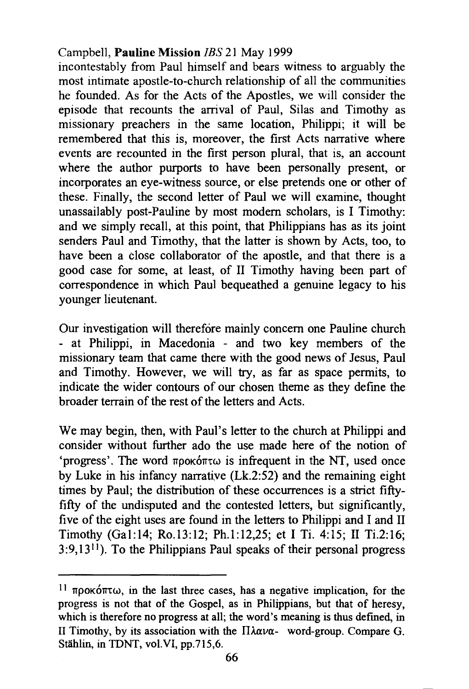incontestably from Paul himself and bears witness to arguably the most intimate apostle-to-church relationship of all the communities he founded. As for the Acts of the Apostles, we will consider the episode that recounts the arrival of Paul, Silas and Timothy as missionary preachers in the same location, Philippi; it will be remembered that this is, moreover, the first Acts narrative where events are recounted in the first person plural, that is, an account where the author purports to have been personally present, or incorporates an eye-witness source, or else pretends one or other of these. Finally, the second letter of Paul we will examine, thought unassailably post-Pauline by most modem scholars, is I Timothy: and we simply recall, at this point, that Philippians has as its joint senders Paul and Timothy, that the latter is shown by Acts, too, to have been a close collaborator of the apostle, and that there is a good case for some, at least, of II Timothy having been part of correspondence in which Paul bequeathed a genuine legacy to his younger lieutenant.

Our investigation will therefore mainly concern one Pauline church - at Philippi, in Macedonia - and two key members of the missionary team that came there with the good news of Jesus, Paul and Timothy. However, we will try, as far as space permits, to indicate the wider contours of our chosen theme as they define the broader terrain of the rest of the letters and Acts.

We may begin, then, with Paul's letter to the church at Philippi and consider without further ado the use made here of the notion of 'progress'. The word  $\pi \rho o \kappa \omega$  is infrequent in the NT, used once by Luke in his infancy narrative (Lk.2:52) and the remaining eight times by Paul; the distribution of these occurrences is a strict fiftyfifty of the undisputed and the contested letters, but significantly, five of the eight uses are found in the letters to Philippi and I and II Timothy (Gal:14; Ro.13:12; Ph.1:12,25; et I Ti. 4:15; II Ti.2:16; 3:9,13 <sup>11</sup> ). To the Philippians Paul speaks of their personal progress

<sup>&</sup>lt;sup>11</sup> προκόπτω, in the last three cases, has a negative implication, for the progress is not that of the Gospel, as in Philippians, but that of heresy, which is therefore no progress at all; the word's meaning is thus defined, in II Timothy, by its association with the  $\Pi \lambda \alpha \nu \alpha$ - word-group. Compare G. Stählin, in TDNT, vol. VI, pp. 715, 6.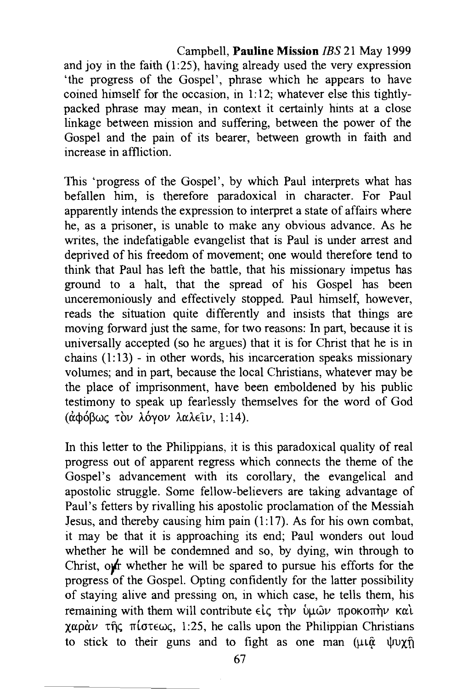and joy in the faith  $(1:25)$ , having already used the very expression 'the progress of the Gospel', phrase which he appears to have coined himself for the occasion, in 1: 12; whatever else this tightlypacked phrase may mean, in context it certainly hints at a close linkage between mission and suffering, between the power of the Gospel and the pain of its bearer, between growth in faith and increase in affliction.

This 'progress of the Gospel', by which Paul interprets what has befallen him, is therefore paradoxical in character. For Paul apparently intends the expression to interpret a state of affairs where he, as a prisoner, is unable to make any obvious advance. As he writes, the indefatigable evangelist that is Paul is under arrest and deprived of his freedom of movement; one would therefore tend to think that Paul has left the battle, that his missionary impetus has ground to a halt, that the spread of his Gospel has been unceremoniously and effectively stopped. Paul himself, however, reads the situation quite differently and insists that things are moving forward just the same, for two reasons: In part, because it is universally accepted (so he argues) that it is for Christ that he is in chains  $(1:13)$  - in other words, his incarceration speaks missionary volumes; and in part, because the local Christians, whatever may be the place of imprisonment, have been emboldened by his public testimony to speak up fearlessly themselves for the word of God (άφόβως τον λόγον λαλείν, 1:14).

In this letter to the Philippians, it is this paradoxical quality of real progress out of apparent regress which connects the theme of the Gospel's advancement with its corollary, the evangelical and apostolic struggle. Some fellow-believers are taking advantage of Paul's fetters by rivalling his apostolic proclamation of the Messiah Jesus, and thereby causing him pain  $(1:17)$ . As for his own combat, it may be that it is approaching its end; Paul wonders out loud whether he will be condemned and so, by dying, win through to Christ,  $\omega f$ r whether he will be spared to pursue his efforts for the progress of the Gospel. Opting confidently for the latter possibility of staying alive and pressing on, in which case, he tells them, his remaining with them will contribute είς την ύμων προκοπήν και  $\chi \alpha \rho \dot{\alpha} \nu$  the  $\pi$  ( $\sigma \tau \in \omega \zeta$ , 1:25, he calls upon the Philippian Christians to stick to their guns and to fight as one man  $(\mu \hat{a} \psi \psi) \hat{\eta}$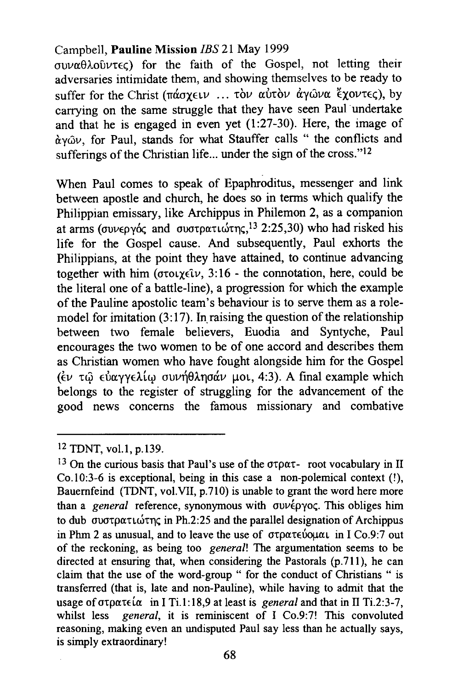$\sigma$ UVa $\theta$ λοῦντες) for the faith of the Gospel, not letting their adversaries intimidate them, and showing themselves to be ready to suffer for the Christ (πάσχειν ... τὸν αὐτὸν ἀγῶνα «χοντες), by carrying on the same struggle that they have seen Paul undertake and that he is engaged in even yet (1:27-30). Here, the image of  $\alpha y \hat{\omega} v$ , for Paul, stands for what Stauffer calls " the conflicts and sufferings of the Christian life... under the sign of the cross." $12$ 

When Paul comes to speak of Epaphroditus, messenger and link between apostle and church, he does so in terms which qualify the Philippian emissary, like Archippus in Philemon 2, as a companion at arms (συνεργός and συστρατιώτης,<sup>13</sup> 2:25,30) who had risked his life for the Gospel cause. And subsequently, Paul exhorts the Philippians, at the point they have attained, to continue advancing together with him ( $\sigma \tau \circ \chi \in \mathcal{W}$ , 3:16 - the connotation, here, could be the literal one of a battle-line), a progression for which the example of the Pauline apostolic team's behaviour is to serve them as a rolemodel for imitation  $(3:17)$ . In raising the question of the relationship between two female believers, Euodia and Syntyche, Paul encourages the two women to be of one accord and describes them as Christian women who have fought alongside him for the Gospel (έν τω εύαγγελίω συνήθλησάν μοι, 4:3). A final example which belongs to the register of struggling for the advancement of the good news concerns the famous missionary and combative

<sup>12</sup> TDNT, vol.1, p.139.

<sup>&</sup>lt;sup>13</sup> On the curious basis that Paul's use of the  $\sigma\tau\rho\alpha\tau$ - root vocabulary in II Co.10:3-6 is exceptional, being in this case a non-polemical context (!), Bauernfeind (TDNT, vol. VII, p.710) is unable to grant the word here more than a *general* reference, synonymous with συνέργος. This obliges him to dub συστρατιώτης in Ph.2:25 and the parallel designation of Archippus in Phm 2 as unusual, and to leave the use of  $\sigma$ τρατεύομαι in I Co.9:7 out of the reckoning, as being too *general!* The argumentation seems to be directed at ensuring that, when considering the Pastorals (p.711), he can claim that the use of the word-group " for the conduct of Christians " is transferred (that is, late and non-Pauline), while having to admit that the usage of  $\sigma \tau \rho \alpha \tau \in (\alpha \text{ in } I \text{ Ti.1}:18,9 \text{ at } \text{least is } general \text{ and that in } II \text{ Ti.2}:3-7$ , whilst less *general*, it is reminiscent of I Co.9:7! This convoluted reasoning, making even an undisputed Paul say less than he actually says, is simply extraordinary!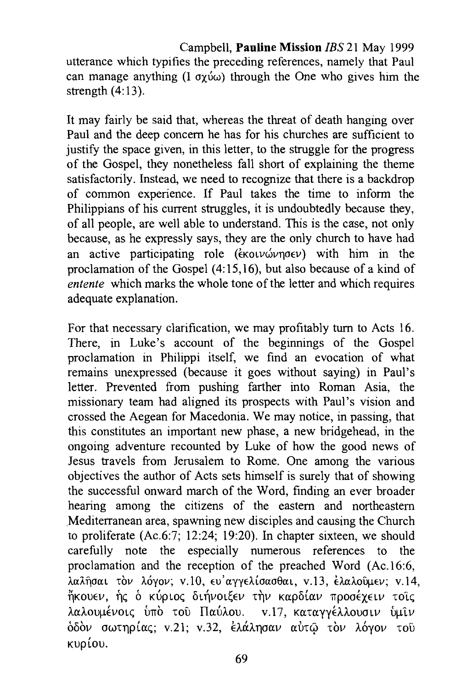utterance which typifies the preceding references, namely that Paul can manage anything  $(I \text{ or } \omega)$  through the One who gives him the strength  $(4:13)$ .

It may fairly be said that, whereas the threat of death hanging over Paul and the deep concern he has for his churches are sufficient to justify the space given, in this letter, to the struggle for the progress of the Gospel, they nonetheless fall short of explaining the theme satisfactorily. Instead, we need to recognize that there is a backdrop of common experience. If Paul takes the time to inform the Philippians of his current struggles, it is undoubtedly because they, of all people, are well able to understand. This is the case, not only because, as he expressly says, they are the only church to have had an active participating role ( $\epsilon$ KOLV $\omega$ Vno $\epsilon$ V) with him in the proclamation of the Gospel (4: 15, 16), but also because of a kind of *entente* which marks the whole tone of the letter and which requires adequate explanation.

For that necessary clarification, we may profitably turn to Acts 16. There, in Luke's account of the beginnings of the Gospel proclamation in Philippi itself, we find an evocation of what remains unexpressed (because it goes without saying) in Paul's letter. Prevented from pushing farther into Roman Asia, the missionary team had aligned its prospects with Paul's vision and crossed the Aegean for Macedonia. We may notice, in passing, that this constitutes an important new phase, a new bridgehead, in the ongoing adventure recounted by Luke of how the good news of Jesus travels from Jerusalem to Rome. One among the various objectives the author of Acts sets himself is surely that of showing the successful onward march of the Word, finding an ever broader hearing among the citizens of the eastern and northeastern Mediterranean area, spawning new disciples and causing the Church to proliferate (Ac.6:7; 12:24; 19:20). In chapter sixteen, we should carefully note the especially numerous references to the proclamation and the reception of the preached Word (Ac.16:6, λαλήσαι τον λόγον; v.10, ευ' αγγελίσασθαι, v.13, έλαλούμεν; v.14,  $\H$ κουεν, ης ο κύριος διηνοιξεν την καρδίαν προσέχειν τοις λαλουμένοις υπό του Παύλου. v.17, καταγγέλλουσιν υμιν *δ*δόν σωτηρίας; v.21; v.32, ελάλησαν αύτω τον λόγον του Kup(ou.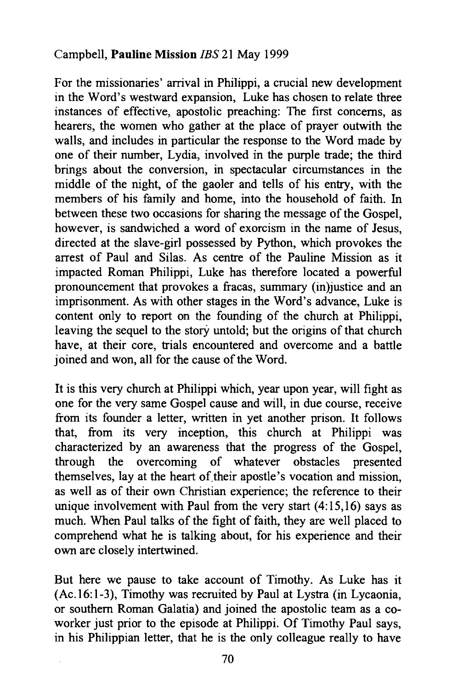For the missionaries' arrival in Philippi, a crucial new development in the Word's westward expansion, Luke has chosen to relate three instances of effective, apostolic preaching: The first concerns, as hearers, the women who gather at the place of prayer outwith the walls, and includes in particular the response to the Word made by one of their number, Lydia, involved in the purple trade; the third brings about the conversion, in spectacular circumstances in the middle of the night, of the gaoler and tells of his entry, with the members of his family and home, into the household of faith. In between these two occasions for sharing the message of the Gospel, however, is sandwiched a word of exorcism in the name of Jesus, directed at the slave-girl possessed by Python, which provokes the arrest of Paul and Silas. As centre of the Pauline Mission as it impacted Roman Philippi, Luke has therefore located a powerful pronouncement that provokes a fracas, summary (in)justice and an imprisonment. As with other stages in the Word's advance, Luke is content only to report on the founding of the church at Philippi, leaving the sequel to the *story* untold; but the origins of that church have, at their core, trials encountered and overcome and a battle joined and won, all for the cause of the Word.

It is this very church at Philippi which, year upon year, will fight as one for the very same Gospel cause and will, in due course, receive from its founder a letter, written in yet another prison. It follows that, from its very inception, this church at Philippi was characterized by an awareness that the progress of the Gospel, through the overcoming of whatever obstacles presented themselves, lay at the heart of their apostle's vocation and mission, as well as of their own Christian experience; the reference to their unique involvement with Paul from the very start  $(4:15,16)$  says as much. When Paul talks of the fight of faith, they are well placed to comprehend what he is talking about, for his experience and their own are closely intertwined.

But here we pause to take account of Timothy. As Luke has it (Ac.16:1-3), Timothy was recruited by Paul at Lystra (in Lycaonia, or southern Roman Galatia) and joined the apostolic team as a coworker just prior to the episode at Philippi. Of Timothy Paul says, in his Philippian letter, that he is the only colleague really to have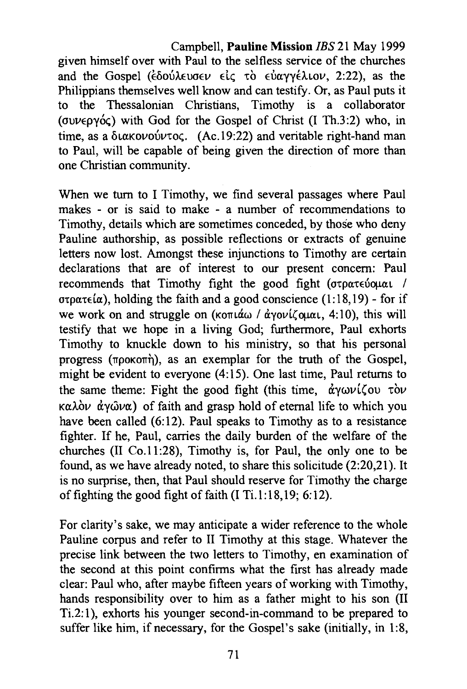Campbell, **Pauline Mission** JBS 21 May 1999 given himself over with Paul to the selfless service of the churches and the Gospel ( $\epsilon$ δούλευσεν είς το εύαγγέλιον, 2:22), as the Philippians themselves well know and can testify. Or, as Paul puts it to the Thessalonian Christians, Timothy is a collaborator ( $\sigma$  $\nu$  $\epsilon$  $\sigma$  $\gamma$  $\sigma$  $\epsilon$ ) with God for the Gospel of Christ (I Th.3:2) who, in time, as a  $\delta$ ιακονούντος. (Ac.19:22) and veritable right-hand man to Paul, will be capable of being given the direction of more than one Christian community.

When we turn to I Timothy, we find several passages where Paul makes - or is said to make - a number of recommendations to Timothy, details which are sometimes conceded, by those who deny Pauline authorship, as possible reflections or extracts of genuine letters now lost. Amongst these injunctions to Timothy are certain declarations that are of interest to our present concern: Paul recommends that Timothy fight the good fight ( $\sigma$ tpate ioual /  $\sigma$ to $\alpha$ te $(\alpha)$ , holding the faith and a good conscience (1:18,19) - for if we work on and struggle on ( $\kappa$ o $\pi \alpha \omega / \dot{\alpha}$ yov $\iota$ Cou $\alpha$ . 4:10), this will testify that we hope in a living God; furthermore, Paul exhorts Timothy to knuckle down to his ministry, so that his personal progress ( $\pi$ poko $\pi$ *n*), as an exemplar for the truth of the Gospel, might be evident to everyone (4:15). One last time, Paul returns to the same theme: Fight the good fight (this time,  $\dot{\alpha}$ *yωv* (ζου τὸν  $\kappa \alpha \lambda \dot{\alpha} \nu \dot{\alpha} \nu \alpha$  of faith and grasp hold of eternal life to which you have been called (6:12). Paul speaks to Timothy as to a resistance fighter. If he, Paul, carries the daily burden of the welfare of the churches  $(II \text{ Co.11:28})$ , Timothy is, for Paul, the only one to be found, as we have already noted, to share this solicitude (2:20,21). It is no surprise, then, that Paul should reserve for Timothy the charge of fighting the good fight of faith  $(I \text{ Ti.} 1:18, 19; 6:12)$ .

For clarity's sake, we may anticipate a wider reference to the whole Pauline corpus and refer to II Timothy at this stage. Whatever the precise link between the two letters to Timothy, en examination of the second at this point confirms what the first has already made clear: Paul who, after maybe fifteen years of working with Timothy, hands responsibility over to him as a father might to his son (II Ti.2:1), exhorts his younger second-in-command to be prepared to suffer like him, if necessary, for the Gospel's sake (initially, in 1:8,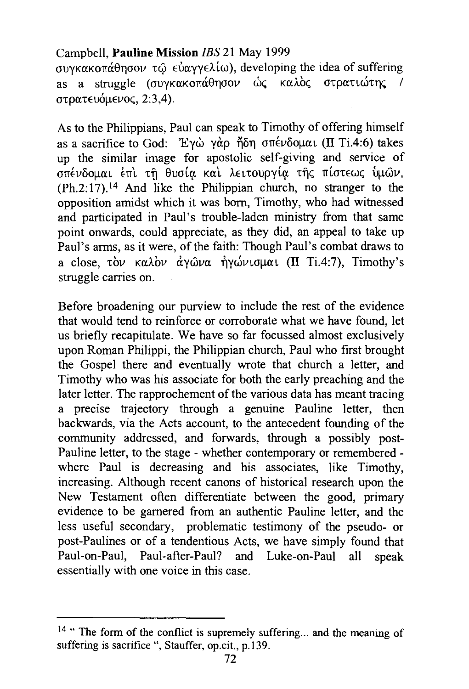συγκακοπάθησον τω εύαγγελίω), developing the idea of suffering as a struggle (συνκακοπάθησον ώς καλός στρατιώτης / στρατευόμενος, 2:3,4).

As to the Philippians, Paul can speak to Timothy of offering himself as a sacrifice to God: Έγω γάρ ήδη σπένδομαι (II Ti.4:6) takes up the similar image for apostolic self-giving and service of σπένδομαι έπι τη θυσία και λειτουργία της πίστεως υμών. (Ph.2:17).14 And like the Philippian church, no stranger to the opposition amidst which it was born, Timothy, who had witnessed and participated in Paul's trouble-laden ministry from that same point onwards, could appreciate, as they did, an appeal to take up Paul's arms, as it were, of the faith: Though Paul's combat draws to a close, τὸν καλὸν ἀνῶνα ἠνώνισμαι (II Ti.4:7), Timothy's struggle carries on.

Before broadening our purview to include the rest of the evidence that would tend to reinforce or corroborate what we have found, let us briefly recapitulate. We have so far focussed almost exclusively upon Roman Philippi, the Philippian church, Paul who first brought the Gospel there and eventually wrote that church a letter, and Timothy who was his associate for both the early preaching and the later letter. The rapprochement of the various data has meant tracing a precise trajectory through a genuine Pauline letter, then backwards, via the Acts account, to the antecedent founding of the community addressed, and forwards, through a possibly post-Pauline letter, to the stage - whether contemporary or remembered where Paul is decreasing and his associates, like Timothy, increasing. Although recent canons of historical research upon the New Testament often differentiate between the good, primary evidence to be garnered from an authentic Pauline letter, and the less useful secondary, problematic testimony of the pseudo- or post-Paulines or of a tendentious Acts, we have simply found that Paul-on-Paul, Paul-after-Paul? and Luke-on-Paul all speak essentially with one voice in this case.

 $14$  "The form of the conflict is supremely suffering... and the meaning of suffering is sacrifice ", Stauffer, op.cit., p.139.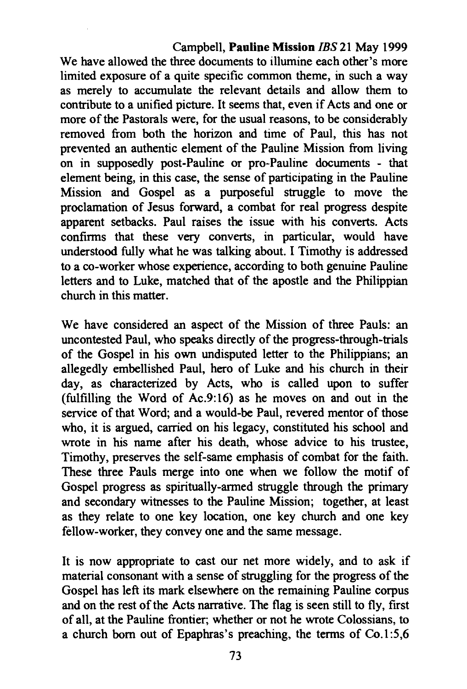We have allowed the three documents to illumine each other's more limited exposure of a quite specific common theme, in such a way as merely to accumulate the relevant details and allow them to contribute to a unified picture. It seems that, even if Acts and one or more of the Pastorals were, for the usual reasons, to be considerably removed from both the horizon and time of Paul, this has not prevented an authentic element of the Pauline Mission from living on in supposedly post-Pauline or pro-Pauline documents - that element being, in this case, the sense of participating in the Pauline Mission and Gospel as a purposeful struggle to move the proclamation of Jesus forward, a combat for real progress despite apparent setbacks. Paul raises the issue with his converts. Acts confirms that these very converts, in particular, would have understood fully what he was talking about. I Timothy is addressed to a co-worker whose experience, according to both genuine Pauline letters and to Luke, matched that of the apostle and the Philippian church in this matter.

We have considered an aspect of the Mission of three Pauls: an uncontested Paul, who speaks directly of the progress-through-trials of the Gospel in his own undisputed letter to the Philippians; an allegedly embellished Paul, hero of Luke and his church in their day, as characterized by Acts, who is called upon to suffer (fulfilling the Word of Ac.9:16) as he moves on and out in the service of that Word; and a would-be Paul, revered mentor of those who, it is argued, carried on his legacy, constituted his school and wrote in his name after his death, whose advice to his trustee, Timothy, preserves the self-same emphasis of combat for the faith. These three Pauls merge into one when we follow the motif of Gospel progress as spiritually-armed struggle through the primary and secondary witnesses to the Pauline Mission; together, at least as they relate to one key location, one key church and one key fellow-worker, they convey one and the same message.

It is now appropriate to cast our net more widely, and to ask if material consonant with a sense of struggling for the progress of the Gospel has left its mark elsewhere on the remaining Pauline corpus and on the rest of the Acts narrative. The flag is seen still to fly, first of all, at the Pauline frontier; whether or not he wrote Colossians, to a church born out of Epaphras's preaching, the terms of  $Co.1:5,6$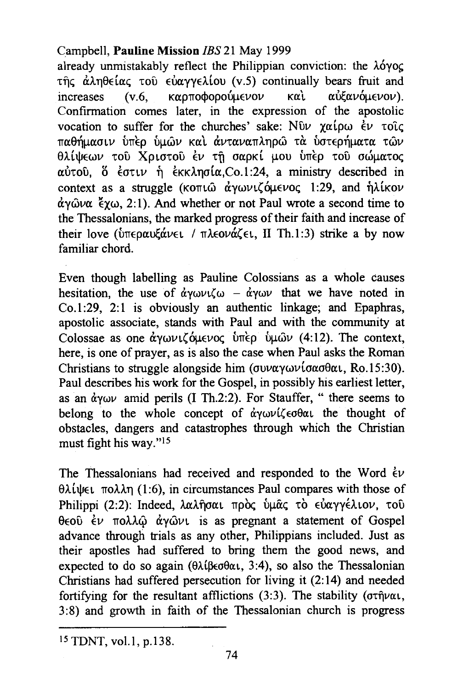already unmistakably reflect the Philippian conviction: the  $\lambda\acute{o}yoc$ της άληθείας του εύαγγελίου (v.5) continually bears fruit and  $increases$  (v.6, καρποφορούμενον και αυξανόμενον). Confirmation comes later, in the expression of the apostolic vocation to suffer for the churches' sake:  $N\hat{v}\nu \gamma\alpha(\rho\omega) \hat{\epsilon}\nu \tau \hat{v}\hat{c}$ παθήμασιν ύπερ ύμων και άνταναπληρω τα ύστερήματα των 8λίψεων του Χριστου έν τη σαρκί μου υπέρ του σώματος  $\alpha$ Úτοῦ, ὅ ἐστιν ἡ ἐκκλησία, Co.1:24, a ministry described in context as a struggle (KOTL $\hat{\omega}$   $\dot{\alpha}$   $\gamma \omega \nu L \zeta \dot{\alpha} \mu \epsilon \nu o \zeta$  1:29, and  $\dot{\eta} \lambda$ *ikov*  $\alpha y \hat{\omega} \alpha$   $\zeta y \omega$ , 2:1). And whether or not Paul wrote a second time to the Thessalonians, the marked progress of their faith and increase of their love ( $\frac{1}{2}$   $\frac{1}{2}$   $\frac{1}{2}$   $\frac{1}{2}$   $\frac{1}{2}$   $\frac{1}{2}$   $\frac{1}{2}$   $\frac{1}{2}$   $\frac{1}{2}$   $\frac{1}{2}$   $\frac{1}{2}$   $\frac{1}{2}$   $\frac{1}{2}$   $\frac{1}{2}$   $\frac{1}{2}$   $\frac{1}{2}$   $\frac{1}{2}$   $\frac{1}{2}$   $\frac{1}{2}$   $\frac{1}{2}$   $\frac{1}{2}$ familiar chord.

Even though labelling as Pauline Colossians as a whole causes hesitation, the use of  $\dot{\alpha}$ YWVL(w -  $\dot{\alpha}$ YWV that we have noted in Co.1:29, 2:1 is obviously an authentic linkage; and Epaphras, apostolic associate, stands with Paul and with the community at Colossae as one  $\dot{\alpha}$ YWVI. OLEVOC UTEP ULWV (4:12). The context, here, is one of prayer, as is also the case when Paul asks the Roman Christians to struggle alongside him (συναγωνίσασθαι, Ro.15:30). Paul describes his work for the Gospel, in possibly his earliest letter, as an  $\dot{\alpha}$ ywv amid perils (I Th.2:2). For Stauffer, " there seems to belong to the whole concept of  $\alpha y \omega \nu \zeta \epsilon \sigma \theta \alpha \nu$  the thought of obstacles, dangers and catastrophes through which the Christian must fight his way."15

The Thessalonians had received and responded to the Word  $\dot{\epsilon}v$  $\theta\lambda\omega\in$   $\theta\lambda\omega\eta$  (1:6), in circumstances Paul compares with those of Philippi (2:2): Indeed, λαλήσαι πρός ύμας το εύαγγέλιον, του θεού έν πολλώ άγωνι is as pregnant a statement of Gospel advance through trials as any other, Philippians included. Just as their apostles had suffered to bring them the good news, and expected to do so again  $(\theta \lambda \hat{\beta} \epsilon \sigma \theta \alpha_1, 3:4)$ , so also the Thessalonian Christians had suffered persecution for living it (2:14) and needed fortifying for the resultant afflictions (3:3). The stability ( $\sigma\tau\hat{\eta}\nu\alpha\iota$ , 3:8) and growth in faith of the Thessalonian church is progress

<sup>15</sup> TDNT, vol.l, p.138.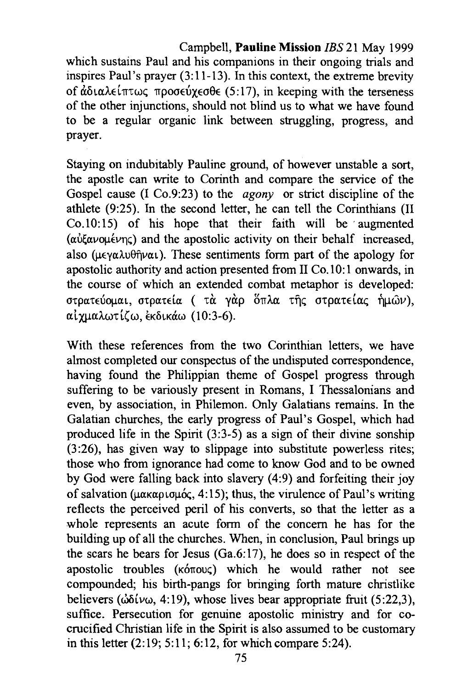# Campbell, **Pauline Mission** JBS 21 May 1999 which sustains Paul and his companions in their ongoing trials and inspires Paul's prayer  $(3:11-13)$ . In this context, the extreme brevity of  $\hat{\alpha}$ διαλείπτως προσεύχεσθε (5:17), in keeping with the terseness of the other injunctions, should not blind us to what we have found to be a regular organic link between struggling, progress, and

prayer.

Staying on indubitably Pauline ground, of however unstable a sort, the apostle can write to Corinth and compare the service of the Gospel cause (I Co.9:23) to the *agony* or strict discipline of the athlete (9:25). In the second letter, he can tell the Corinthians (II  $Co.10:15$  of his hope that their faith will be augmented ( $\alpha\dot{\alpha}\xi\alpha\nu\alpha\mu\epsilon\nu\eta\zeta$ ) and the apostolic activity on their behalf increased, also ( $\mu \in \gamma \alpha \lambda \nu \theta \hat{\eta} \nu \alpha \iota$ ). These sentiments form part of the apology for apostolic authority and action presented from  $II$  Co. 10:1 onwards, in the course of which an extended combat metaphor is developed: στρατεύομαι, στρατεία ( τα γαρ ὅπλα της στρατείας ήμων), alxµaA.wT((w, EKbLKiiw (10:3-6).

With these references from the two Corinthian letters, we have almost completed our conspectus of the undisputed correspondence, having found the Philippian theme of Gospel progress through suffering to be variously present in Romans, I Thessalonians and even, by association, in Philemon. Only Galatians remains. In the Galatian churches, the early progress of Paul's Gospel, which had produced life in the Spirit  $(3:3-5)$  as a sign of their divine sonship (3 :26), has given way to slippage into substitute powerless rites; those who from ignorance had come to know God and to be owned by God were falling back into slavery (4:9) and forfeiting their joy of salvation ( $\mu\alpha\kappa\alpha\rho\iota\sigma\mu\dot{\alpha}$ , 4:15); thus, the virulence of Paul's writing reflects the perceived peril of his converts, so that the letter as a whole represents an acute form of the concern he has for the building up of all the churches. When, in conclusion, Paul brings up the scars he bears for Jesus  $(Ga.6:17)$ , he does so in respect of the apostolic troubles ( $\kappa$ <sup>6</sup> $\sigma$ <sub>0</sub>) which he would rather not see compounded; his birth-pangs for bringing forth mature christlike believers ( $\omega \delta \omega$ , 4:19), whose lives bear appropriate fruit (5:22,3), suffice. Persecution for genuine apostolic ministry and for cocrucified Christian life in the Spirit is also assumed to be customary in this letter (2:19; 5:11; 6:12, for which compare 5:24).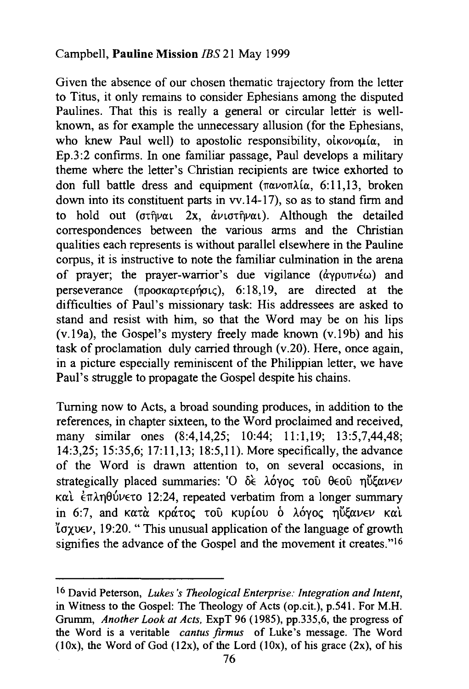Given the absence of our chosen thematic trajectory from the letter to Titus, it only remains to consider Ephesians among the disputed Paulines. That this is really a general or circular letter is wellknown, as for example the unnecessary allusion (for the Ephesians, who knew Paul well) to apostolic responsibility,  $o$ *i* $o$ *voui* $\alpha$ , in Ep.3 :2 confirms. In one familiar passage, Paul develops a military theme where the letter's Christian recipients are twice exhorted to don full battle dress and equipment ( $\pi \alpha \nu$ o $\pi \lambda i \alpha$ , 6:11,13, broken down into its constituent parts in vv .14-17), so as to stand firm and to hold out ( $\sigma \tau \hat{\eta} \nu \alpha \iota$  2x,  $\dot{\alpha} \nu \iota \sigma \tau \hat{\eta} \nu \alpha \iota$ ). Although the detailed correspondences between the various arms and the Christian qualities each represents is without parallel elsewhere in the Pauline corpus, it is instructive to note the familiar culmination in the arena of prayer; the prayer-warrior's due vigilance ( $\dot{\alpha}$ ypu $\pi\nu\dot{\epsilon}\omega$ ) and perseverance ( $\pi$ pookaptepn $\sigma$ <sub>L</sub>c), 6:18, 19, are directed at the difficulties of Paul's missionary task: His addressees are asked to stand and resist with him, so that the Word may be on his lips (v.19a), the Gospel's mystery freely made known (v.19b) and his task of proclamation duly carried through (v.20). Here, once again, in a picture especially reminiscent of the Philippian letter, we have Paul's struggle to propagate the Gospel despite his chains.

Turning now to Acts, a broad sounding produces, in addition to the references, in chapter sixteen, to the Word proclaimed and received, many similar ones (8:4,14,25; 10:44; 11:1,19; 13:5,7,44,48; 14:3,25; 15:35,6; 17:11,13; 18:5,11). More specifically, the advance of the Word is drawn attention to, on several occasions, in strategically placed summaries: ' $O \delta \epsilon$  λόγος του θεου ηΰξανεν Kαι έπληθύνετο 12:24, repeated verbatim from a longer summary in 6:7, and κατά κράτος του κυρίου ο λόγος ηΰξανεν και  $\gamma$  ( $\gamma$ ) (19:20. " This unusual application of the language of growth signifies the advance of the Gospel and the movement it creates."<sup>16</sup>

<sup>16</sup>David Peterson, *Lukes 's Theological Enterprise: Integration and Intent,*  in Witness to the Gospel: The Theology of Acts (op.cit.), p.541. For M.H. Grumm, *Another Look at Acts,* ExpT 96 (1985), pp.335,6, the progress of the Word is a veritable *cantus firmus* of Luke's message. The Word  $(10x)$ , the Word of God  $(12x)$ , of the Lord  $(10x)$ , of his grace  $(2x)$ , of his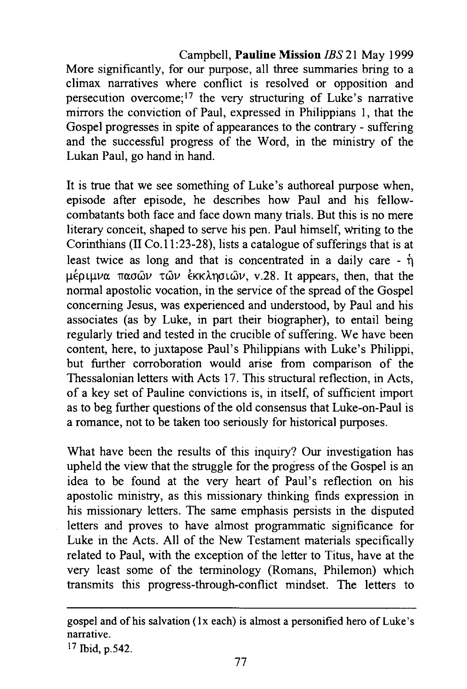Campbell, **Pauline Mission** JBS 21 May 1999 More significantly, for our purpose, all three summaries bring to a climax narratives where conflict is resolved or opposition and persecution overcome;!? the very structuring of Luke's narrative mirrors the conviction of Paul, expressed in Philippians 1, that the Gospel progresses in spite of appearances to the contrary - suffering and the successful progress of the Word, in the ministry of the Lukan Paul, go hand in hand.

It is true that we see something of Luke's authoreal purpose when, episode after episode, he describes how Paul and his fellowcombatants both face and face down many trials. But this is no mere literary conceit, shaped to serve his pen. Paul himself, Writing to the Corinthians (II Co.11:23-28), lists a catalogue of sufferings that is at least twice as long and that is concentrated in a daily care -  $\hat{\eta}$ μέριμνα πασών τών εκκλησιών, v.28. It appears, then, that the normal apostolic vocation, in the service of the spread of the Gospel concerning Jesus, was experienced and understood, by Paul and his associates (as by Luke, in part their biographer), to entail being regularly tried and tested in the crucible of suffering. We have been content, here, to juxtapose Paul's Philippians with Luke's Philippi, but further corroboration would arise from comparison of the Thessalonian letters with Acts 17. This structural reflection, in Acts, of a key set of Pauline convictions is, in itself, of sufficient import as to beg further questions of the old consensus that Luke-on-Paul is a romance, not to be taken too seriously for historical purposes.

What have been the results of this inquiry? Our investigation has upheld the view that the struggle for the progress of the Gospel is an idea to be found at the very heart of Paul's reflection on his apostolic ministry, as this missionary thinking finds expression in his missionary letters. The same emphasis persists in the disputed letters and proves to have almost programmatic significance for Luke in the Acts. All of the New Testament materials specifically related to Paul, with the exception of the letter to Titus, have at the very least some of the terminology (Romans, Philemon) which transmits this progress-through-conflict mindset. The letters to

gospel and of his salvation (lx each) is almost a personified hero of Luke's narrative.

<sup>17</sup> Ibid, p.542.